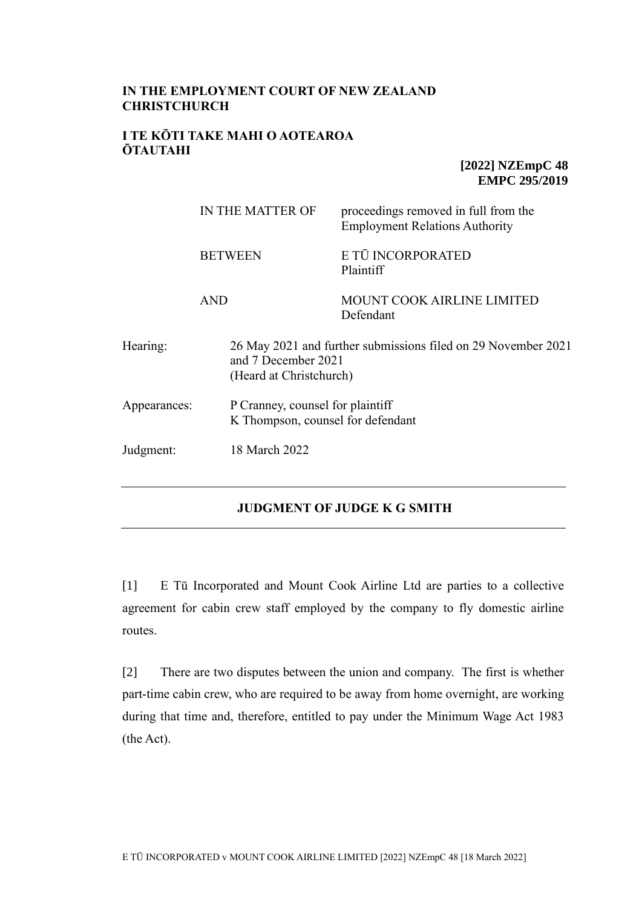# **IN THE EMPLOYMENT COURT OF NEW ZEALAND CHRISTCHURCH**

## **I TE KŌTI TAKE MAHI O AOTEAROA ŌTAUTAHI**

**[2022] NZEmpC 48 EMPC 295/2019**

|                | IN THE MATTER OF |                                                                                                                 | proceedings removed in full from the<br><b>Employment Relations Authority</b> |  |
|----------------|------------------|-----------------------------------------------------------------------------------------------------------------|-------------------------------------------------------------------------------|--|
| <b>BETWEEN</b> |                  |                                                                                                                 | E TŪ INCORPORATED<br>Plaintiff                                                |  |
|                | <b>AND</b>       |                                                                                                                 | <b>MOUNT COOK AIRLINE LIMITED</b><br>Defendant                                |  |
| Hearing:       |                  | 26 May 2021 and further submissions filed on 29 November 2021<br>and 7 December 2021<br>(Heard at Christchurch) |                                                                               |  |
| Appearances:   |                  | P Cranney, counsel for plaintiff<br>K Thompson, counsel for defendant                                           |                                                                               |  |
| Judgment:      |                  | 18 March 2022                                                                                                   |                                                                               |  |

## **JUDGMENT OF JUDGE K G SMITH**

[1] E Tū Incorporated and Mount Cook Airline Ltd are parties to a collective agreement for cabin crew staff employed by the company to fly domestic airline routes.

[2] There are two disputes between the union and company. The first is whether part-time cabin crew, who are required to be away from home overnight, are working during that time and, therefore, entitled to pay under the Minimum Wage Act 1983 (the Act).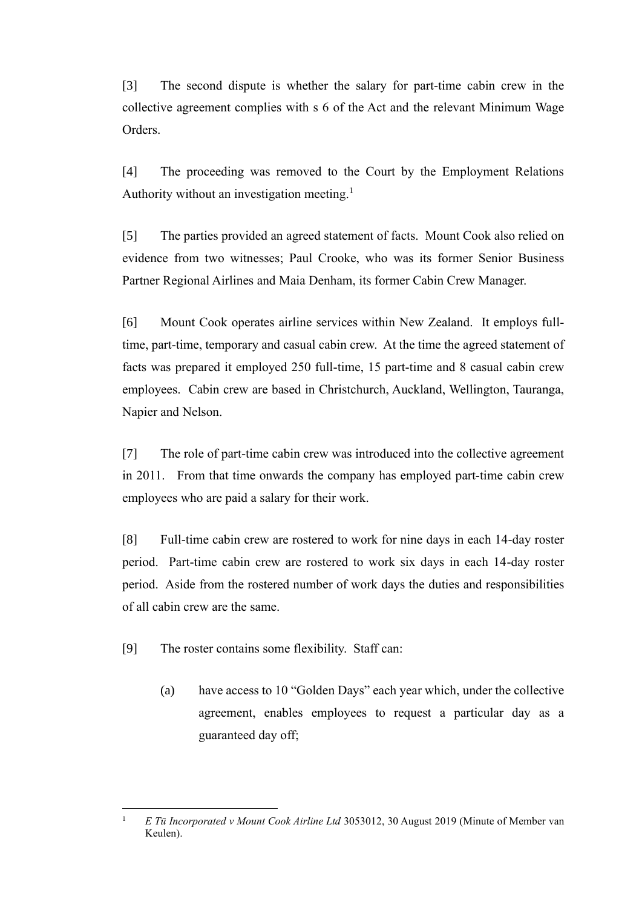[3] The second dispute is whether the salary for part-time cabin crew in the collective agreement complies with s 6 of the Act and the relevant Minimum Wage Orders.

[4] The proceeding was removed to the Court by the Employment Relations Authority without an investigation meeting.<sup>1</sup>

[5] The parties provided an agreed statement of facts. Mount Cook also relied on evidence from two witnesses; Paul Crooke, who was its former Senior Business Partner Regional Airlines and Maia Denham, its former Cabin Crew Manager.

[6] Mount Cook operates airline services within New Zealand. It employs fulltime, part-time, temporary and casual cabin crew. At the time the agreed statement of facts was prepared it employed 250 full-time, 15 part-time and 8 casual cabin crew employees. Cabin crew are based in Christchurch, Auckland, Wellington, Tauranga, Napier and Nelson.

[7] The role of part-time cabin crew was introduced into the collective agreement in 2011. From that time onwards the company has employed part-time cabin crew employees who are paid a salary for their work.

[8] Full-time cabin crew are rostered to work for nine days in each 14-day roster period. Part-time cabin crew are rostered to work six days in each 14-day roster period. Aside from the rostered number of work days the duties and responsibilities of all cabin crew are the same.

[9] The roster contains some flexibility. Staff can:

(a) have access to 10 "Golden Days" each year which, under the collective agreement, enables employees to request a particular day as a guaranteed day off;

<sup>&</sup>lt;sup>1</sup> *E Tū Incorporated v Mount Cook Airline Ltd* 3053012, 30 August 2019 (Minute of Member van Keulen).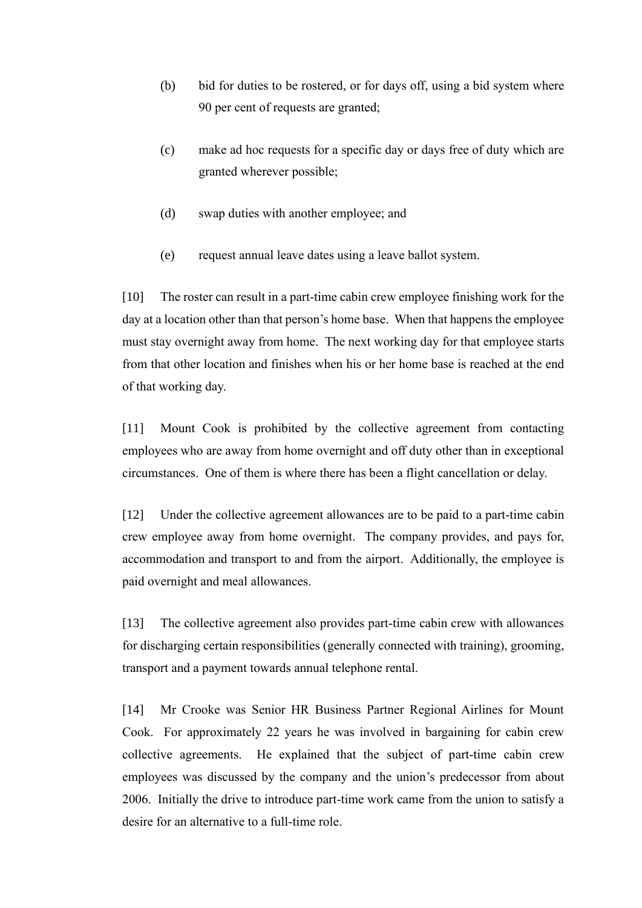- (b) bid for duties to be rostered, or for days off, using a bid system where 90 per cent of requests are granted;
- (c) make ad hoc requests for a specific day or days free of duty which are granted wherever possible;
- (d) swap duties with another employee; and
- (e) request annual leave dates using a leave ballot system.

[10] The roster can result in a part-time cabin crew employee finishing work for the day at a location other than that person's home base. When that happens the employee must stay overnight away from home. The next working day for that employee starts from that other location and finishes when his or her home base is reached at the end of that working day.

[11] Mount Cook is prohibited by the collective agreement from contacting employees who are away from home overnight and off duty other than in exceptional circumstances. One of them is where there has been a flight cancellation or delay.

[12] Under the collective agreement allowances are to be paid to a part-time cabin crew employee away from home overnight. The company provides, and pays for, accommodation and transport to and from the airport. Additionally, the employee is paid overnight and meal allowances.

[13] The collective agreement also provides part-time cabin crew with allowances for discharging certain responsibilities (generally connected with training), grooming, transport and a payment towards annual telephone rental.

[14] Mr Crooke was Senior HR Business Partner Regional Airlines for Mount Cook. For approximately 22 years he was involved in bargaining for cabin crew collective agreements. He explained that the subject of part-time cabin crew employees was discussed by the company and the union's predecessor from about 2006. Initially the drive to introduce part-time work came from the union to satisfy a desire for an alternative to a full-time role.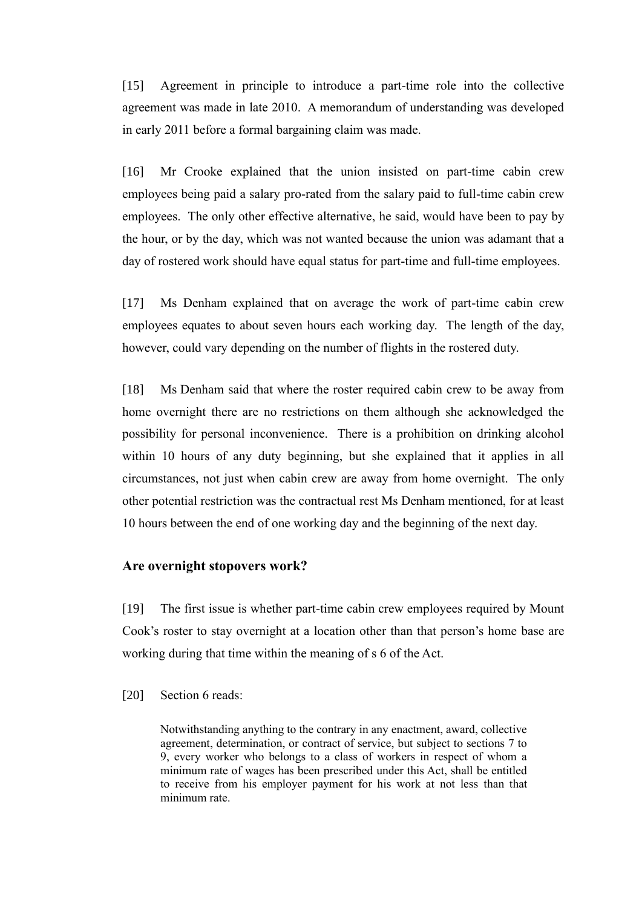[15] Agreement in principle to introduce a part-time role into the collective agreement was made in late 2010. A memorandum of understanding was developed in early 2011 before a formal bargaining claim was made.

[16] Mr Crooke explained that the union insisted on part-time cabin crew employees being paid a salary pro-rated from the salary paid to full-time cabin crew employees. The only other effective alternative, he said, would have been to pay by the hour, or by the day, which was not wanted because the union was adamant that a day of rostered work should have equal status for part-time and full-time employees.

[17] Ms Denham explained that on average the work of part-time cabin crew employees equates to about seven hours each working day. The length of the day, however, could vary depending on the number of flights in the rostered duty.

[18] Ms Denham said that where the roster required cabin crew to be away from home overnight there are no restrictions on them although she acknowledged the possibility for personal inconvenience. There is a prohibition on drinking alcohol within 10 hours of any duty beginning, but she explained that it applies in all circumstances, not just when cabin crew are away from home overnight. The only other potential restriction was the contractual rest Ms Denham mentioned, for at least 10 hours between the end of one working day and the beginning of the next day.

## **Are overnight stopovers work?**

[19] The first issue is whether part-time cabin crew employees required by Mount Cook's roster to stay overnight at a location other than that person's home base are working during that time within the meaning of s 6 of the Act.

#### [20] Section 6 reads:

Notwithstanding anything to the contrary in any enactment, award, collective agreement, determination, or contract of service, but subject to sections 7 to 9, every worker who belongs to a class of workers in respect of whom a minimum rate of wages has been prescribed under this Act, shall be entitled to receive from his employer payment for his work at not less than that minimum rate.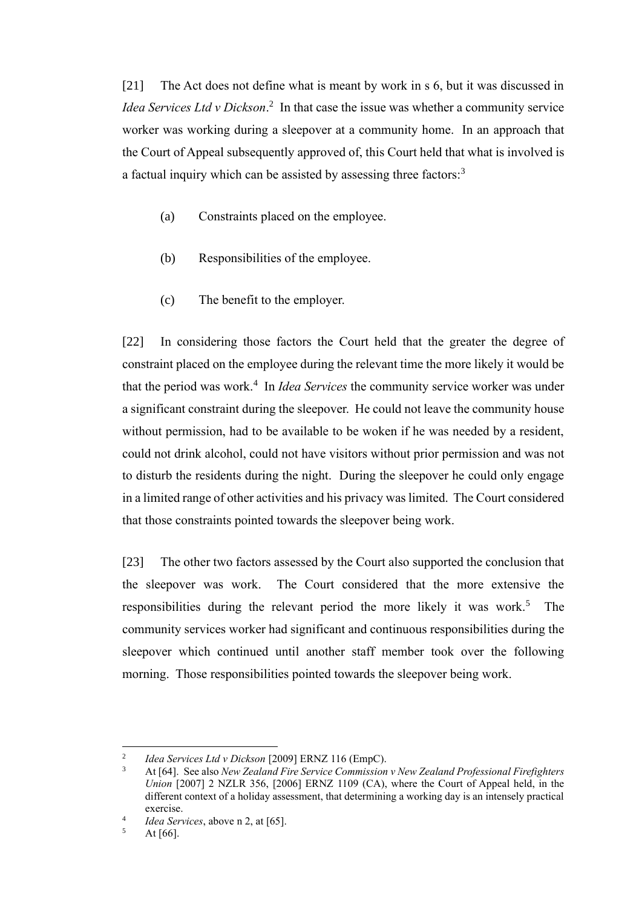[21] The Act does not define what is meant by work in s 6, but it was discussed in Idea Services Ltd v Dickson.<sup>2</sup> In that case the issue was whether a community service worker was working during a sleepover at a community home. In an approach that the Court of Appeal subsequently approved of, this Court held that what is involved is a factual inquiry which can be assisted by assessing three factors:<sup>3</sup>

- (a) Constraints placed on the employee.
- (b) Responsibilities of the employee.
- (c) The benefit to the employer.

[22] In considering those factors the Court held that the greater the degree of constraint placed on the employee during the relevant time the more likely it would be that the period was work.<sup>4</sup> In *Idea Services* the community service worker was under a significant constraint during the sleepover. He could not leave the community house without permission, had to be available to be woken if he was needed by a resident, could not drink alcohol, could not have visitors without prior permission and was not to disturb the residents during the night. During the sleepover he could only engage in a limited range of other activities and his privacy was limited. The Court considered that those constraints pointed towards the sleepover being work.

[23] The other two factors assessed by the Court also supported the conclusion that the sleepover was work. The Court considered that the more extensive the responsibilities during the relevant period the more likely it was work.<sup>5</sup> The community services worker had significant and continuous responsibilities during the sleepover which continued until another staff member took over the following morning. Those responsibilities pointed towards the sleepover being work.

<sup>2</sup> *Idea Services Ltd v Dickson* [2009] ERNZ 116 (EmpC).

<sup>3</sup> At [64]. See also *New Zealand Fire Service Commission v New Zealand Professional Firefighters Union* [2007] 2 NZLR 356, [2006] ERNZ 1109 (CA), where the Court of Appeal held, in the different context of a holiday assessment, that determining a working day is an intensely practical exercise.

<sup>4</sup> *Idea Services*, above n 2, at [65].

 $5$  At [66].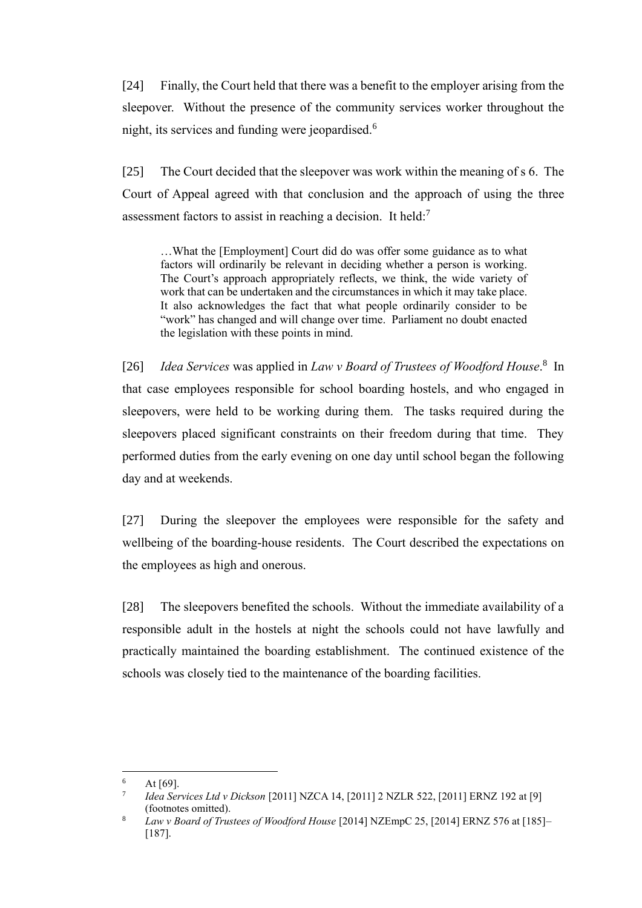[24] Finally, the Court held that there was a benefit to the employer arising from the sleepover. Without the presence of the community services worker throughout the night, its services and funding were jeopardised.<sup>6</sup>

[25] The Court decided that the sleepover was work within the meaning of s 6. The Court of Appeal agreed with that conclusion and the approach of using the three assessment factors to assist in reaching a decision. It held:<sup>7</sup>

…What the [Employment] Court did do was offer some guidance as to what factors will ordinarily be relevant in deciding whether a person is working. The Court's approach appropriately reflects, we think, the wide variety of work that can be undertaken and the circumstances in which it may take place. It also acknowledges the fact that what people ordinarily consider to be "work" has changed and will change over time. Parliament no doubt enacted the legislation with these points in mind.

[26] *Idea Services* was applied in *Law v Board of Trustees of Woodford House*. 8 In that case employees responsible for school boarding hostels, and who engaged in sleepovers, were held to be working during them. The tasks required during the sleepovers placed significant constraints on their freedom during that time. They performed duties from the early evening on one day until school began the following day and at weekends.

[27] During the sleepover the employees were responsible for the safety and wellbeing of the boarding-house residents. The Court described the expectations on the employees as high and onerous.

[28] The sleepovers benefited the schools. Without the immediate availability of a responsible adult in the hostels at night the schools could not have lawfully and practically maintained the boarding establishment. The continued existence of the schools was closely tied to the maintenance of the boarding facilities.

 $6$  At [69].

<sup>7</sup> *Idea Services Ltd v Dickson* [2011] NZCA 14, [2011] 2 NZLR 522, [2011] ERNZ 192 at [9] (footnotes omitted).

<sup>8</sup> *Law v Board of Trustees of Woodford House* [2014] NZEmpC 25, [2014] ERNZ 576 at [185]– [187].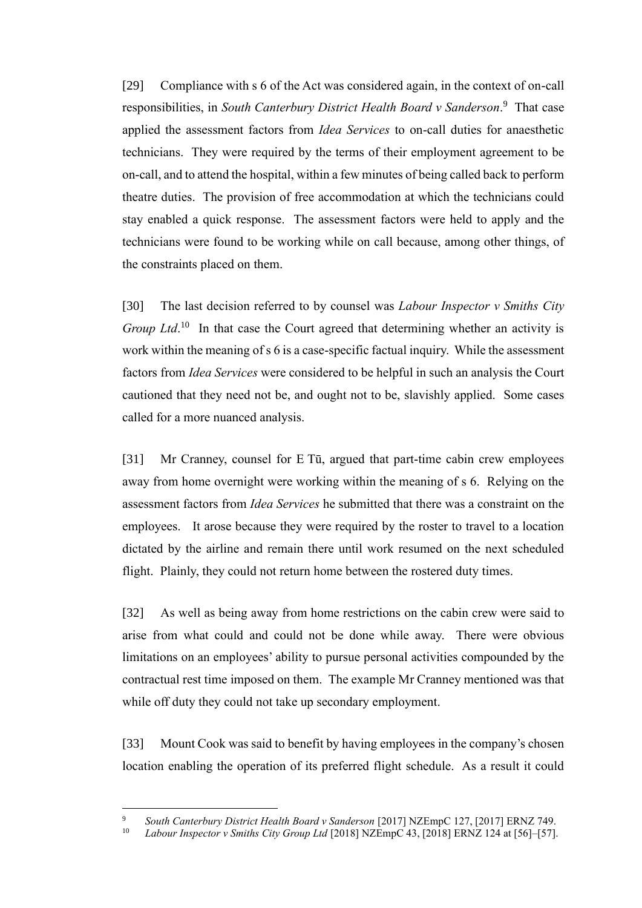[29] Compliance with s 6 of the Act was considered again, in the context of on-call responsibilities, in *South Canterbury District Health Board v Sanderson*. 9 That case applied the assessment factors from *Idea Services* to on-call duties for anaesthetic technicians. They were required by the terms of their employment agreement to be on-call, and to attend the hospital, within a few minutes of being called back to perform theatre duties. The provision of free accommodation at which the technicians could stay enabled a quick response. The assessment factors were held to apply and the technicians were found to be working while on call because, among other things, of the constraints placed on them.

[30] The last decision referred to by counsel was *Labour Inspector v Smiths City Group Ltd*.<sup>10</sup> In that case the Court agreed that determining whether an activity is work within the meaning of s 6 is a case-specific factual inquiry. While the assessment factors from *Idea Services* were considered to be helpful in such an analysis the Court cautioned that they need not be, and ought not to be, slavishly applied. Some cases called for a more nuanced analysis.

[31] Mr Cranney, counsel for E Tū, argued that part-time cabin crew employees away from home overnight were working within the meaning of s 6. Relying on the assessment factors from *Idea Services* he submitted that there was a constraint on the employees. It arose because they were required by the roster to travel to a location dictated by the airline and remain there until work resumed on the next scheduled flight. Plainly, they could not return home between the rostered duty times.

[32] As well as being away from home restrictions on the cabin crew were said to arise from what could and could not be done while away. There were obvious limitations on an employees' ability to pursue personal activities compounded by the contractual rest time imposed on them. The example Mr Cranney mentioned was that while off duty they could not take up secondary employment.

[33] Mount Cook was said to benefit by having employees in the company's chosen location enabling the operation of its preferred flight schedule. As a result it could

<sup>9</sup> *South Canterbury District Health Board v Sanderson* [2017] NZEmpC 127, [2017] ERNZ 749.

<sup>10</sup> *Labour Inspector v Smiths City Group Ltd* [2018] NZEmpC 43, [2018] ERNZ 124 at [56]–[57].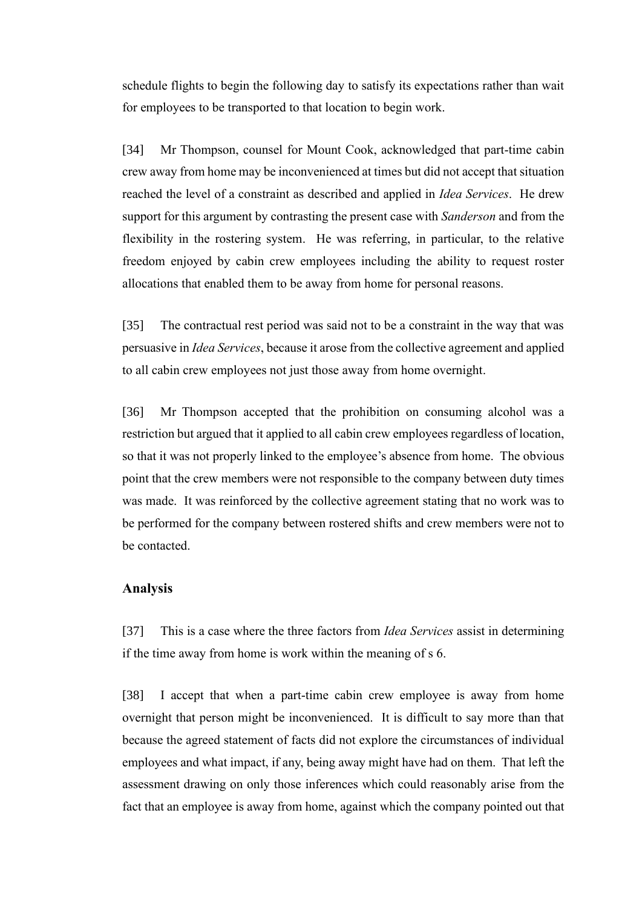schedule flights to begin the following day to satisfy its expectations rather than wait for employees to be transported to that location to begin work.

[34] Mr Thompson, counsel for Mount Cook, acknowledged that part-time cabin crew away from home may be inconvenienced at times but did not accept that situation reached the level of a constraint as described and applied in *Idea Services*. He drew support for this argument by contrasting the present case with *Sanderson* and from the flexibility in the rostering system. He was referring, in particular, to the relative freedom enjoyed by cabin crew employees including the ability to request roster allocations that enabled them to be away from home for personal reasons.

[35] The contractual rest period was said not to be a constraint in the way that was persuasive in *Idea Services*, because it arose from the collective agreement and applied to all cabin crew employees not just those away from home overnight.

[36] Mr Thompson accepted that the prohibition on consuming alcohol was a restriction but argued that it applied to all cabin crew employees regardless of location, so that it was not properly linked to the employee's absence from home. The obvious point that the crew members were not responsible to the company between duty times was made. It was reinforced by the collective agreement stating that no work was to be performed for the company between rostered shifts and crew members were not to be contacted.

## **Analysis**

[37] This is a case where the three factors from *Idea Services* assist in determining if the time away from home is work within the meaning of s 6.

[38] I accept that when a part-time cabin crew employee is away from home overnight that person might be inconvenienced. It is difficult to say more than that because the agreed statement of facts did not explore the circumstances of individual employees and what impact, if any, being away might have had on them. That left the assessment drawing on only those inferences which could reasonably arise from the fact that an employee is away from home, against which the company pointed out that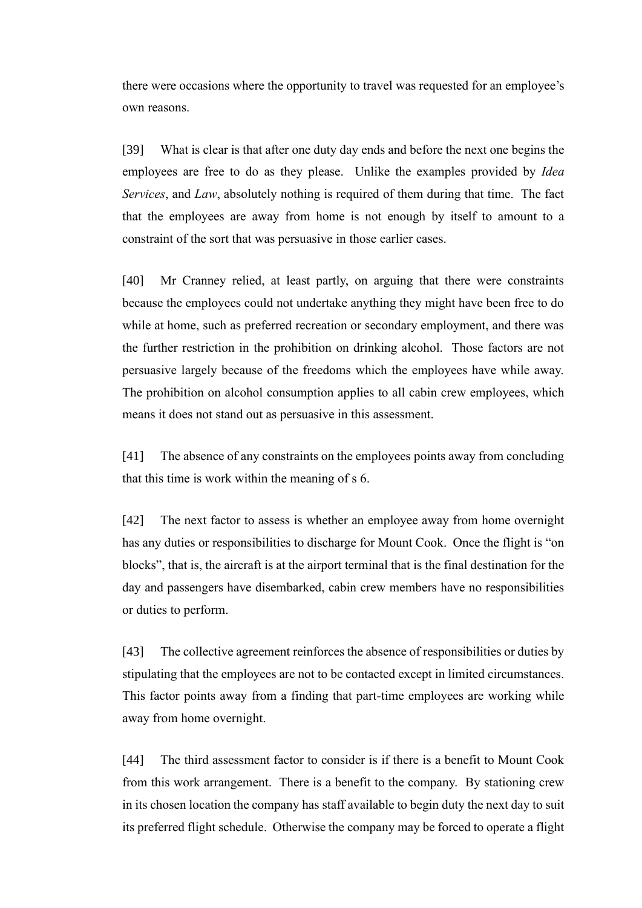there were occasions where the opportunity to travel was requested for an employee's own reasons.

[39] What is clear is that after one duty day ends and before the next one begins the employees are free to do as they please. Unlike the examples provided by *Idea Services*, and *Law*, absolutely nothing is required of them during that time. The fact that the employees are away from home is not enough by itself to amount to a constraint of the sort that was persuasive in those earlier cases.

[40] Mr Cranney relied, at least partly, on arguing that there were constraints because the employees could not undertake anything they might have been free to do while at home, such as preferred recreation or secondary employment, and there was the further restriction in the prohibition on drinking alcohol. Those factors are not persuasive largely because of the freedoms which the employees have while away. The prohibition on alcohol consumption applies to all cabin crew employees, which means it does not stand out as persuasive in this assessment.

[41] The absence of any constraints on the employees points away from concluding that this time is work within the meaning of s 6.

[42] The next factor to assess is whether an employee away from home overnight has any duties or responsibilities to discharge for Mount Cook. Once the flight is "on blocks", that is, the aircraft is at the airport terminal that is the final destination for the day and passengers have disembarked, cabin crew members have no responsibilities or duties to perform.

[43] The collective agreement reinforces the absence of responsibilities or duties by stipulating that the employees are not to be contacted except in limited circumstances. This factor points away from a finding that part-time employees are working while away from home overnight.

[44] The third assessment factor to consider is if there is a benefit to Mount Cook from this work arrangement. There is a benefit to the company. By stationing crew in its chosen location the company has staff available to begin duty the next day to suit its preferred flight schedule. Otherwise the company may be forced to operate a flight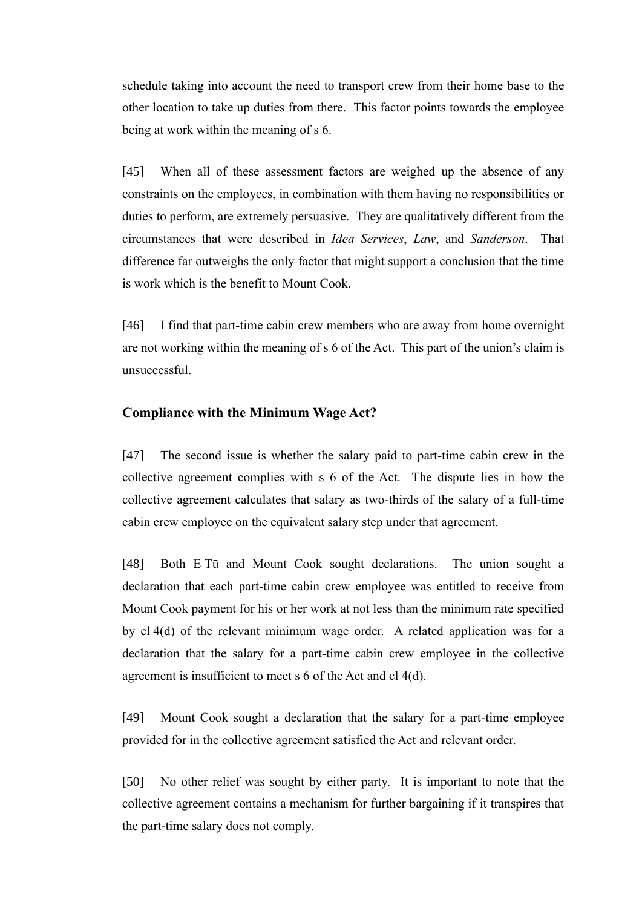schedule taking into account the need to transport crew from their home base to the other location to take up duties from there. This factor points towards the employee being at work within the meaning of s 6.

[45] When all of these assessment factors are weighed up the absence of any constraints on the employees, in combination with them having no responsibilities or duties to perform, are extremely persuasive. They are qualitatively different from the circumstances that were described in *Idea Services*, *Law*, and *Sanderson*. That difference far outweighs the only factor that might support a conclusion that the time is work which is the benefit to Mount Cook.

[46] I find that part-time cabin crew members who are away from home overnight are not working within the meaning of s 6 of the Act. This part of the union's claim is unsuccessful.

### **Compliance with the Minimum Wage Act?**

[47] The second issue is whether the salary paid to part-time cabin crew in the collective agreement complies with s 6 of the Act. The dispute lies in how the collective agreement calculates that salary as two-thirds of the salary of a full-time cabin crew employee on the equivalent salary step under that agreement.

[48] Both E Tū and Mount Cook sought declarations. The union sought a declaration that each part-time cabin crew employee was entitled to receive from Mount Cook payment for his or her work at not less than the minimum rate specified by cl 4(d) of the relevant minimum wage order. A related application was for a declaration that the salary for a part-time cabin crew employee in the collective agreement is insufficient to meet s 6 of the Act and cl 4(d).

[49] Mount Cook sought a declaration that the salary for a part-time employee provided for in the collective agreement satisfied the Act and relevant order.

[50] No other relief was sought by either party. It is important to note that the collective agreement contains a mechanism for further bargaining if it transpires that the part-time salary does not comply.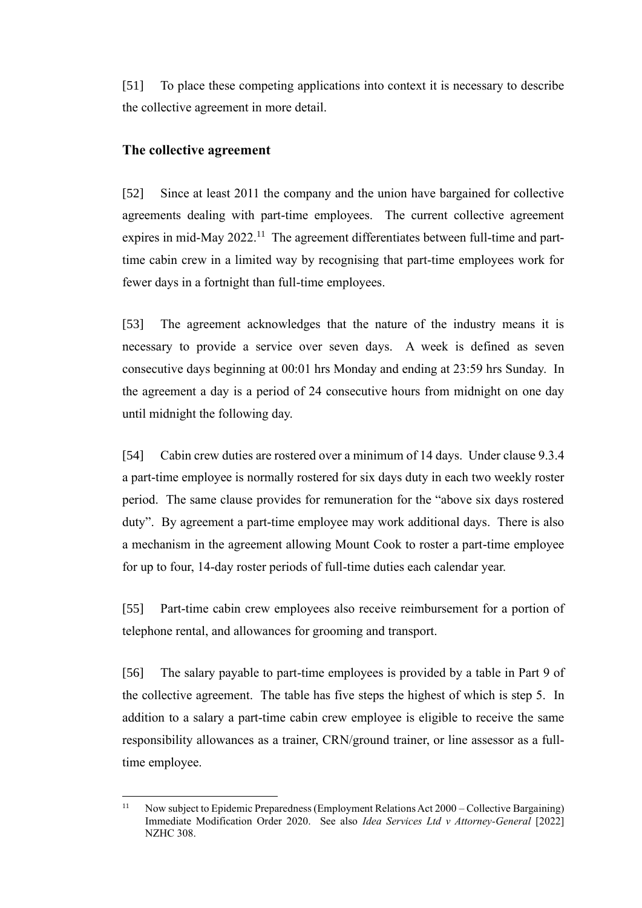[51] To place these competing applications into context it is necessary to describe the collective agreement in more detail.

#### **The collective agreement**

[52] Since at least 2011 the company and the union have bargained for collective agreements dealing with part-time employees. The current collective agreement expires in mid-May 2022.<sup>11</sup> The agreement differentiates between full-time and parttime cabin crew in a limited way by recognising that part-time employees work for fewer days in a fortnight than full-time employees.

[53] The agreement acknowledges that the nature of the industry means it is necessary to provide a service over seven days. A week is defined as seven consecutive days beginning at 00:01 hrs Monday and ending at 23:59 hrs Sunday. In the agreement a day is a period of 24 consecutive hours from midnight on one day until midnight the following day.

[54] Cabin crew duties are rostered over a minimum of 14 days. Under clause 9.3.4 a part-time employee is normally rostered for six days duty in each two weekly roster period. The same clause provides for remuneration for the "above six days rostered duty". By agreement a part-time employee may work additional days. There is also a mechanism in the agreement allowing Mount Cook to roster a part-time employee for up to four, 14-day roster periods of full-time duties each calendar year.

[55] Part-time cabin crew employees also receive reimbursement for a portion of telephone rental, and allowances for grooming and transport.

[56] The salary payable to part-time employees is provided by a table in Part 9 of the collective agreement. The table has five steps the highest of which is step 5. In addition to a salary a part-time cabin crew employee is eligible to receive the same responsibility allowances as a trainer, CRN/ground trainer, or line assessor as a fulltime employee.

<sup>&</sup>lt;sup>11</sup> Now subject to Epidemic Preparedness (Employment Relations Act 2000 – Collective Bargaining) Immediate Modification Order 2020. See also *Idea Services Ltd v Attorney-General* [2022] NZHC 308.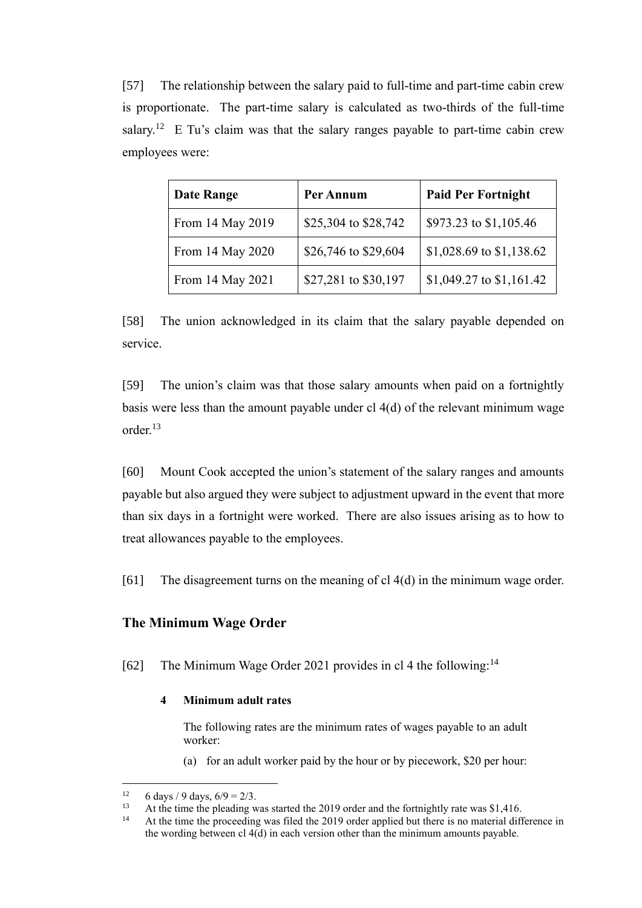[57] The relationship between the salary paid to full-time and part-time cabin crew is proportionate. The part-time salary is calculated as two-thirds of the full-time salary.<sup>12</sup> E Tu's claim was that the salary ranges payable to part-time cabin crew employees were:

| <b>Date Range</b> | Per Annum            | <b>Paid Per Fortnight</b> |
|-------------------|----------------------|---------------------------|
| From 14 May 2019  | \$25,304 to \$28,742 | \$973.23 to \$1,105.46    |
| From 14 May 2020  | \$26,746 to \$29,604 | \$1,028.69 to \$1,138.62  |
| From 14 May 2021  | \$27,281 to \$30,197 | \$1,049.27 to \$1,161.42  |

[58] The union acknowledged in its claim that the salary payable depended on service.

[59] The union's claim was that those salary amounts when paid on a fortnightly basis were less than the amount payable under cl 4(d) of the relevant minimum wage order.<sup>13</sup>

[60] Mount Cook accepted the union's statement of the salary ranges and amounts payable but also argued they were subject to adjustment upward in the event that more than six days in a fortnight were worked. There are also issues arising as to how to treat allowances payable to the employees.

[61] The disagreement turns on the meaning of cl 4(d) in the minimum wage order.

#### **The Minimum Wage Order**

[62] The Minimum Wage Order 2021 provides in cl 4 the following:<sup>14</sup>

#### **4 Minimum adult rates**

The following rates are the minimum rates of wages payable to an adult worker:

(a) for an adult worker paid by the hour or by piecework, \$20 per hour:

<sup>&</sup>lt;sup>12</sup> 6 days / 9 days,  $6/9 = 2/3$ .<br><sup>13</sup> At the time the planding v

<sup>13</sup> At the time the pleading was started the 2019 order and the fortnightly rate was \$1,416.

At the time the proceeding was filed the 2019 order applied but there is no material difference in the wording between cl 4(d) in each version other than the minimum amounts payable.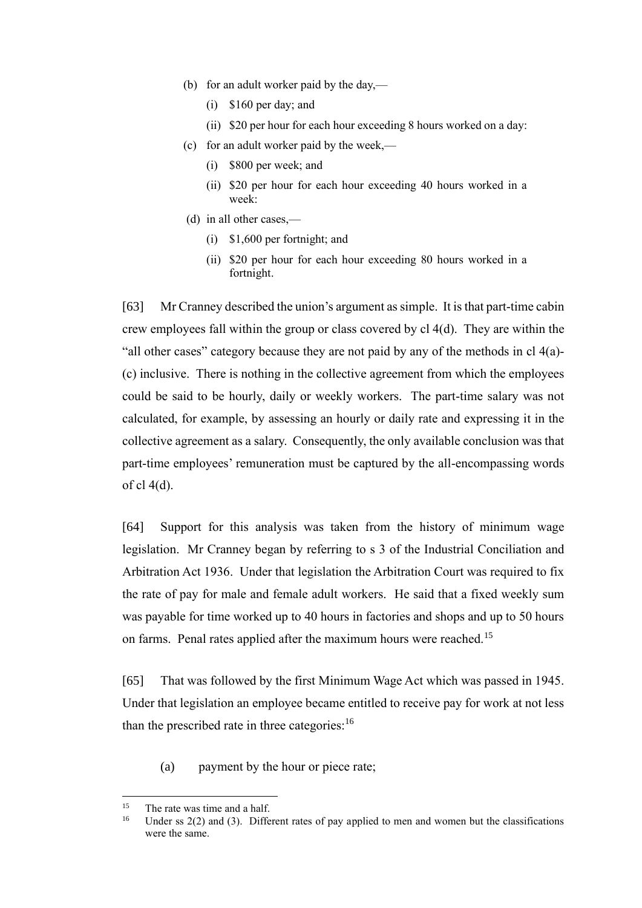- (b) for an adult worker paid by the day,—
	- (i) \$160 per day; and
	- (ii) \$20 per hour for each hour exceeding 8 hours worked on a day:
- (c) for an adult worker paid by the week,—
	- (i) \$800 per week; and
	- (ii) \$20 per hour for each hour exceeding 40 hours worked in a week:
- (d) in all other cases,—
	- (i) \$1,600 per fortnight; and
	- (ii) \$20 per hour for each hour exceeding 80 hours worked in a fortnight.

[63] Mr Cranney described the union's argument as simple. It is that part-time cabin crew employees fall within the group or class covered by cl 4(d). They are within the "all other cases" category because they are not paid by any of the methods in cl 4(a)- (c) inclusive. There is nothing in the collective agreement from which the employees could be said to be hourly, daily or weekly workers. The part-time salary was not calculated, for example, by assessing an hourly or daily rate and expressing it in the collective agreement as a salary. Consequently, the only available conclusion was that part-time employees' remuneration must be captured by the all-encompassing words of cl 4(d).

[64] Support for this analysis was taken from the history of minimum wage legislation. Mr Cranney began by referring to s 3 of the Industrial Conciliation and Arbitration Act 1936. Under that legislation the Arbitration Court was required to fix the rate of pay for male and female adult workers. He said that a fixed weekly sum was payable for time worked up to 40 hours in factories and shops and up to 50 hours on farms. Penal rates applied after the maximum hours were reached.<sup>15</sup>

[65] That was followed by the first Minimum Wage Act which was passed in 1945. Under that legislation an employee became entitled to receive pay for work at not less than the prescribed rate in three categories: $16$ 

(a) payment by the hour or piece rate;

<sup>&</sup>lt;sup>15</sup> The rate was time and a half.<br><sup>16</sup> Haden as  $2(2)$  and  $(2)$  Diffs

Under ss  $2(2)$  and  $(3)$ . Different rates of pay applied to men and women but the classifications were the same.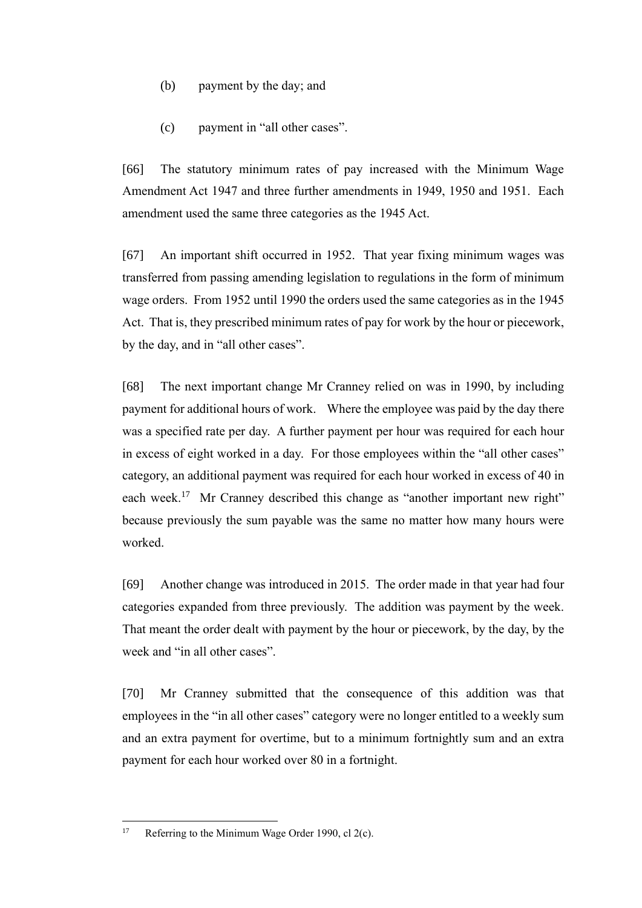- (b) payment by the day; and
- (c) payment in "all other cases".

[66] The statutory minimum rates of pay increased with the Minimum Wage Amendment Act 1947 and three further amendments in 1949, 1950 and 1951. Each amendment used the same three categories as the 1945 Act.

[67] An important shift occurred in 1952. That year fixing minimum wages was transferred from passing amending legislation to regulations in the form of minimum wage orders. From 1952 until 1990 the orders used the same categories as in the 1945 Act. That is, they prescribed minimum rates of pay for work by the hour or piecework, by the day, and in "all other cases".

[68] The next important change Mr Cranney relied on was in 1990, by including payment for additional hours of work. Where the employee was paid by the day there was a specified rate per day. A further payment per hour was required for each hour in excess of eight worked in a day. For those employees within the "all other cases" category, an additional payment was required for each hour worked in excess of 40 in each week.<sup>17</sup> Mr Cranney described this change as "another important new right" because previously the sum payable was the same no matter how many hours were worked.

[69] Another change was introduced in 2015. The order made in that year had four categories expanded from three previously. The addition was payment by the week. That meant the order dealt with payment by the hour or piecework, by the day, by the week and "in all other cases".

[70] Mr Cranney submitted that the consequence of this addition was that employees in the "in all other cases" category were no longer entitled to a weekly sum and an extra payment for overtime, but to a minimum fortnightly sum and an extra payment for each hour worked over 80 in a fortnight.

<sup>&</sup>lt;sup>17</sup> Referring to the Minimum Wage Order 1990, cl  $2(c)$ .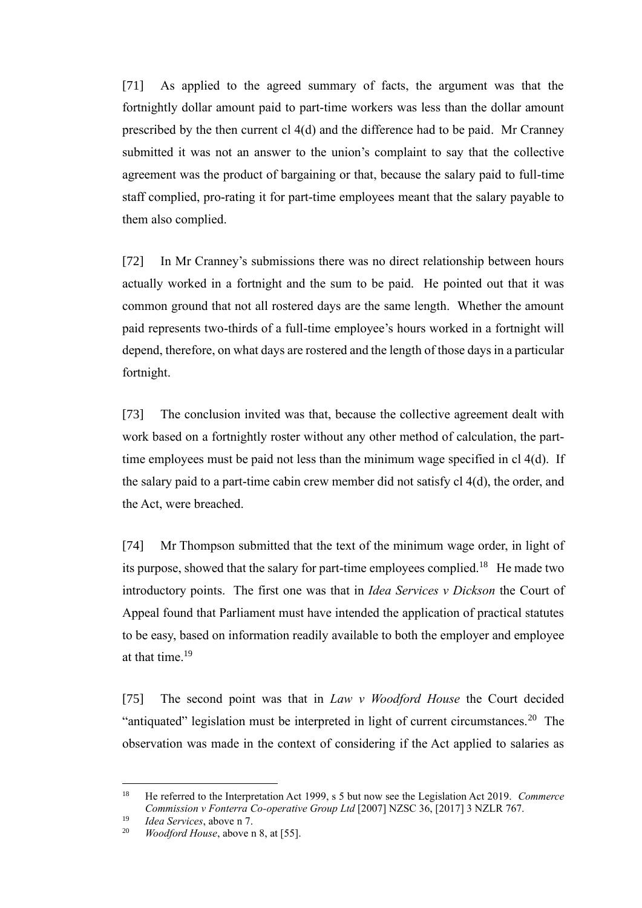[71] As applied to the agreed summary of facts, the argument was that the fortnightly dollar amount paid to part-time workers was less than the dollar amount prescribed by the then current cl 4(d) and the difference had to be paid. Mr Cranney submitted it was not an answer to the union's complaint to say that the collective agreement was the product of bargaining or that, because the salary paid to full-time staff complied, pro-rating it for part-time employees meant that the salary payable to them also complied.

[72] In Mr Cranney's submissions there was no direct relationship between hours actually worked in a fortnight and the sum to be paid. He pointed out that it was common ground that not all rostered days are the same length. Whether the amount paid represents two-thirds of a full-time employee's hours worked in a fortnight will depend, therefore, on what days are rostered and the length of those days in a particular fortnight.

[73] The conclusion invited was that, because the collective agreement dealt with work based on a fortnightly roster without any other method of calculation, the parttime employees must be paid not less than the minimum wage specified in cl 4(d). If the salary paid to a part-time cabin crew member did not satisfy cl 4(d), the order, and the Act, were breached.

[74] Mr Thompson submitted that the text of the minimum wage order, in light of its purpose, showed that the salary for part-time employees complied.<sup>18</sup> He made two introductory points. The first one was that in *Idea Services v Dickson* the Court of Appeal found that Parliament must have intended the application of practical statutes to be easy, based on information readily available to both the employer and employee at that time.<sup>19</sup>

[75] The second point was that in *Law v Woodford House* the Court decided "antiquated" legislation must be interpreted in light of current circumstances.<sup>20</sup> The observation was made in the context of considering if the Act applied to salaries as

<sup>18</sup> He referred to the Interpretation Act 1999, s 5 but now see the Legislation Act 2019. *Commerce Commission v Fonterra Co-operative Group Ltd* [2007] NZSC 36, [2017] 3 NZLR 767.

<sup>19</sup> *Idea Services*, above n 7.

*Woodford House*, above n 8, at [55].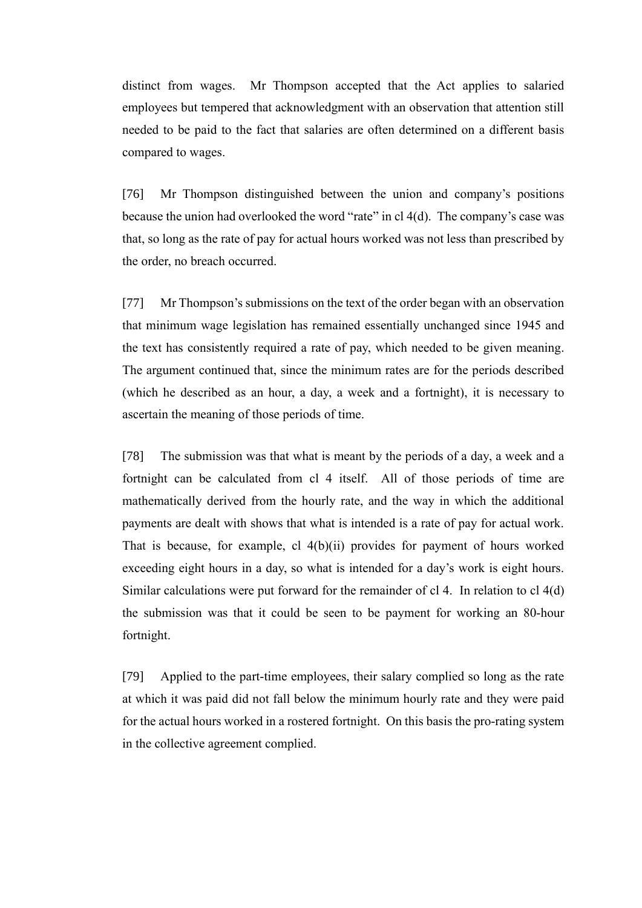distinct from wages. Mr Thompson accepted that the Act applies to salaried employees but tempered that acknowledgment with an observation that attention still needed to be paid to the fact that salaries are often determined on a different basis compared to wages.

[76] Mr Thompson distinguished between the union and company's positions because the union had overlooked the word "rate" in cl 4(d). The company's case was that, so long as the rate of pay for actual hours worked was not less than prescribed by the order, no breach occurred.

[77] Mr Thompson's submissions on the text of the order began with an observation that minimum wage legislation has remained essentially unchanged since 1945 and the text has consistently required a rate of pay, which needed to be given meaning. The argument continued that, since the minimum rates are for the periods described (which he described as an hour, a day, a week and a fortnight), it is necessary to ascertain the meaning of those periods of time.

[78] The submission was that what is meant by the periods of a day, a week and a fortnight can be calculated from cl 4 itself. All of those periods of time are mathematically derived from the hourly rate, and the way in which the additional payments are dealt with shows that what is intended is a rate of pay for actual work. That is because, for example, cl 4(b)(ii) provides for payment of hours worked exceeding eight hours in a day, so what is intended for a day's work is eight hours. Similar calculations were put forward for the remainder of cl 4. In relation to cl 4(d) the submission was that it could be seen to be payment for working an 80-hour fortnight.

[79] Applied to the part-time employees, their salary complied so long as the rate at which it was paid did not fall below the minimum hourly rate and they were paid for the actual hours worked in a rostered fortnight. On this basis the pro-rating system in the collective agreement complied.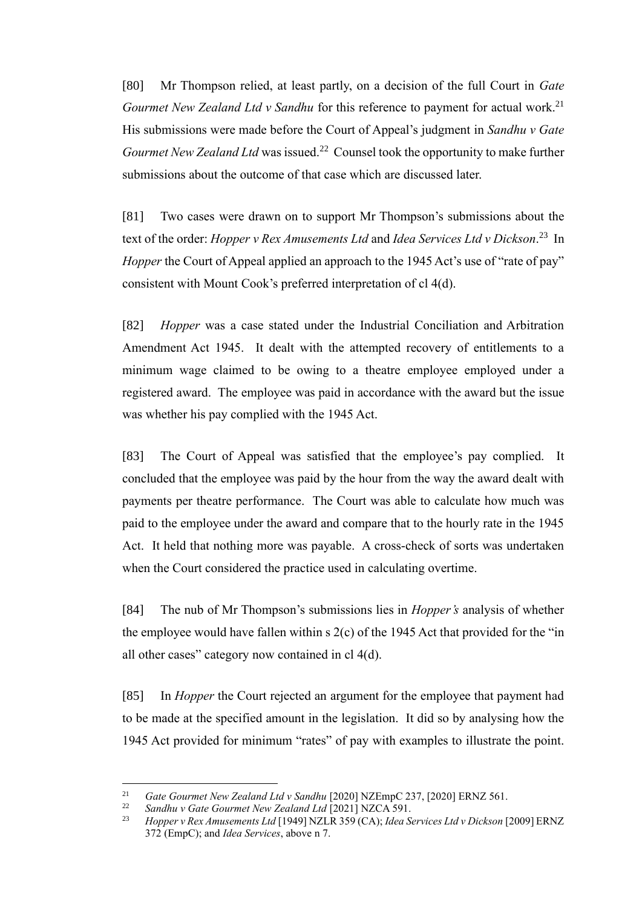[80] Mr Thompson relied, at least partly, on a decision of the full Court in *Gate Gourmet New Zealand Ltd v Sandhu for this reference to payment for actual work.*<sup>21</sup> His submissions were made before the Court of Appeal's judgment in *Sandhu v Gate*  Gourmet New Zealand Ltd was issued.<sup>22</sup> Counsel took the opportunity to make further submissions about the outcome of that case which are discussed later.

[81] Two cases were drawn on to support Mr Thompson's submissions about the text of the order: *Hopper v Rex Amusements Ltd* and *Idea Services Ltd v Dickson*. 23 In *Hopper* the Court of Appeal applied an approach to the 1945 Act's use of "rate of pay" consistent with Mount Cook's preferred interpretation of cl 4(d).

[82] *Hopper* was a case stated under the Industrial Conciliation and Arbitration Amendment Act 1945. It dealt with the attempted recovery of entitlements to a minimum wage claimed to be owing to a theatre employee employed under a registered award. The employee was paid in accordance with the award but the issue was whether his pay complied with the 1945 Act.

[83] The Court of Appeal was satisfied that the employee's pay complied. It concluded that the employee was paid by the hour from the way the award dealt with payments per theatre performance. The Court was able to calculate how much was paid to the employee under the award and compare that to the hourly rate in the 1945 Act. It held that nothing more was payable. A cross-check of sorts was undertaken when the Court considered the practice used in calculating overtime.

[84] The nub of Mr Thompson's submissions lies in *Hopper's* analysis of whether the employee would have fallen within  $s$  2(c) of the 1945 Act that provided for the "in all other cases" category now contained in cl 4(d).

[85] In *Hopper* the Court rejected an argument for the employee that payment had to be made at the specified amount in the legislation. It did so by analysing how the 1945 Act provided for minimum "rates" of pay with examples to illustrate the point.

<sup>&</sup>lt;sup>21</sup> *Gate Gourmet New Zealand Ltd v Sandhu* [2020] NZEmpC 237, [2020] ERNZ 561.

<sup>22</sup> *Sandhu v Gate Gourmet New Zealand Ltd* [2021] NZCA 591.

<sup>23</sup> *Hopper v Rex Amusements Ltd* [1949] NZLR 359 (CA); *Idea Services Ltd v Dickson* [2009] ERNZ 372 (EmpC); and *Idea Services*, above n 7.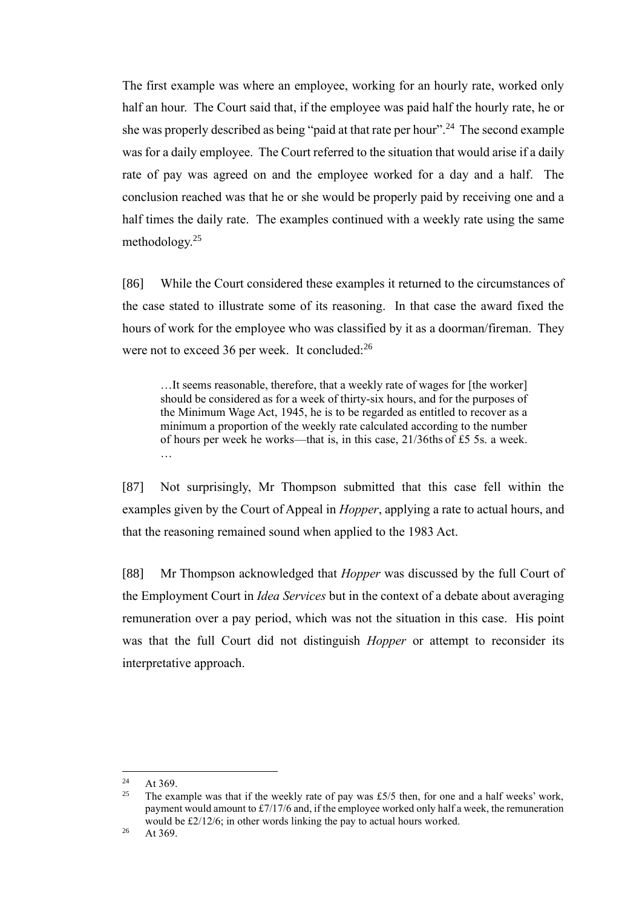The first example was where an employee, working for an hourly rate, worked only half an hour. The Court said that, if the employee was paid half the hourly rate, he or she was properly described as being "paid at that rate per hour".<sup>24</sup> The second example was for a daily employee. The Court referred to the situation that would arise if a daily rate of pay was agreed on and the employee worked for a day and a half. The conclusion reached was that he or she would be properly paid by receiving one and a half times the daily rate. The examples continued with a weekly rate using the same methodology.<sup>25</sup>

[86] While the Court considered these examples it returned to the circumstances of the case stated to illustrate some of its reasoning. In that case the award fixed the hours of work for the employee who was classified by it as a doorman/fireman. They were not to exceed 36 per week. It concluded:<sup>26</sup>

…It seems reasonable, therefore, that a weekly rate of wages for [the worker] should be considered as for a week of thirty-six hours, and for the purposes of the Minimum Wage Act, 1945, he is to be regarded as entitled to recover as a minimum a proportion of the weekly rate calculated according to the number of hours per week he works—that is, in this case, 21/36ths of £5 5s. a week. …

[87] Not surprisingly, Mr Thompson submitted that this case fell within the examples given by the Court of Appeal in *Hopper*, applying a rate to actual hours, and that the reasoning remained sound when applied to the 1983 Act.

[88] Mr Thompson acknowledged that *Hopper* was discussed by the full Court of the Employment Court in *Idea Services* but in the context of a debate about averaging remuneration over a pay period, which was not the situation in this case. His point was that the full Court did not distinguish *Hopper* or attempt to reconsider its interpretative approach.

 $24$  At 369.

The example was that if the weekly rate of pay was £5/5 then, for one and a half weeks' work, payment would amount to £7/17/6 and, if the employee worked only half a week, the remuneration would be £2/12/6; in other words linking the pay to actual hours worked.

 $26$  At 369.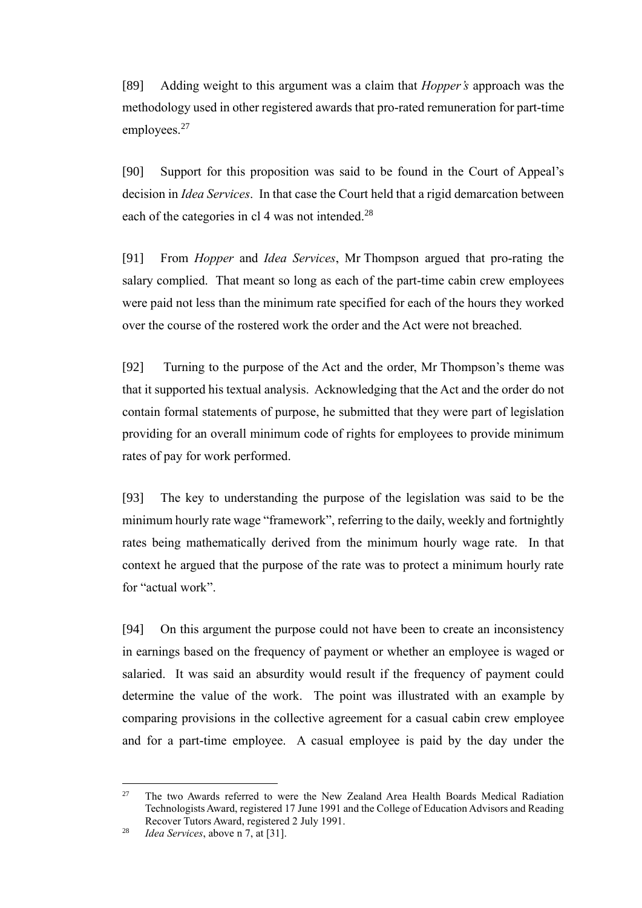[89] Adding weight to this argument was a claim that *Hopper's* approach was the methodology used in other registered awards that pro-rated remuneration for part-time employees.<sup>27</sup>

[90] Support for this proposition was said to be found in the Court of Appeal's decision in *Idea Services*. In that case the Court held that a rigid demarcation between each of the categories in cl 4 was not intended.<sup>28</sup>

[91] From *Hopper* and *Idea Services*, Mr Thompson argued that pro-rating the salary complied. That meant so long as each of the part-time cabin crew employees were paid not less than the minimum rate specified for each of the hours they worked over the course of the rostered work the order and the Act were not breached.

[92] Turning to the purpose of the Act and the order, Mr Thompson's theme was that it supported his textual analysis. Acknowledging that the Act and the order do not contain formal statements of purpose, he submitted that they were part of legislation providing for an overall minimum code of rights for employees to provide minimum rates of pay for work performed.

[93] The key to understanding the purpose of the legislation was said to be the minimum hourly rate wage "framework", referring to the daily, weekly and fortnightly rates being mathematically derived from the minimum hourly wage rate. In that context he argued that the purpose of the rate was to protect a minimum hourly rate for "actual work".

[94] On this argument the purpose could not have been to create an inconsistency in earnings based on the frequency of payment or whether an employee is waged or salaried. It was said an absurdity would result if the frequency of payment could determine the value of the work. The point was illustrated with an example by comparing provisions in the collective agreement for a casual cabin crew employee and for a part-time employee. A casual employee is paid by the day under the

<sup>&</sup>lt;sup>27</sup> The two Awards referred to were the New Zealand Area Health Boards Medical Radiation Technologists Award, registered 17 June 1991 and the College of Education Advisors and Reading Recover Tutors Award, registered 2 July 1991.

<sup>28</sup> *Idea Services*, above n 7, at [31].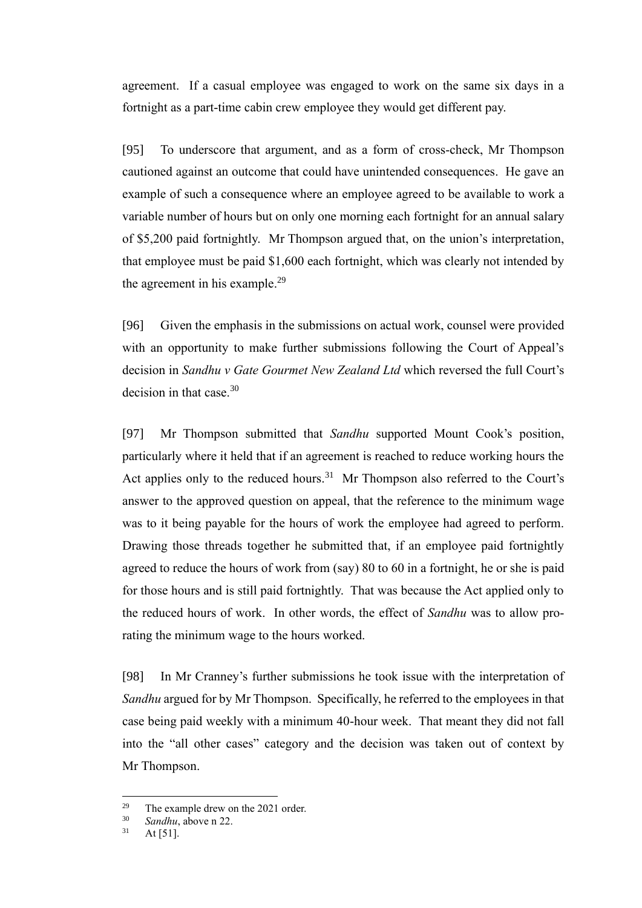agreement. If a casual employee was engaged to work on the same six days in a fortnight as a part-time cabin crew employee they would get different pay.

[95] To underscore that argument, and as a form of cross-check, Mr Thompson cautioned against an outcome that could have unintended consequences. He gave an example of such a consequence where an employee agreed to be available to work a variable number of hours but on only one morning each fortnight for an annual salary of \$5,200 paid fortnightly. Mr Thompson argued that, on the union's interpretation, that employee must be paid \$1,600 each fortnight, which was clearly not intended by the agreement in his example.<sup>29</sup>

[96] Given the emphasis in the submissions on actual work, counsel were provided with an opportunity to make further submissions following the Court of Appeal's decision in *Sandhu v Gate Gourmet New Zealand Ltd* which reversed the full Court's decision in that case.<sup>30</sup>

[97] Mr Thompson submitted that *Sandhu* supported Mount Cook's position, particularly where it held that if an agreement is reached to reduce working hours the Act applies only to the reduced hours.<sup>31</sup> Mr Thompson also referred to the Court's answer to the approved question on appeal, that the reference to the minimum wage was to it being payable for the hours of work the employee had agreed to perform. Drawing those threads together he submitted that, if an employee paid fortnightly agreed to reduce the hours of work from (say) 80 to 60 in a fortnight, he or she is paid for those hours and is still paid fortnightly. That was because the Act applied only to the reduced hours of work. In other words, the effect of *Sandhu* was to allow prorating the minimum wage to the hours worked.

[98] In Mr Cranney's further submissions he took issue with the interpretation of *Sandhu* argued for by Mr Thompson. Specifically, he referred to the employees in that case being paid weekly with a minimum 40-hour week. That meant they did not fall into the "all other cases" category and the decision was taken out of context by Mr Thompson.

<sup>&</sup>lt;sup>29</sup> The example drew on the 2021 order.<br> $\frac{30}{2}$  Sandhu above a 22

 $\frac{30}{31}$  *Sandhu*, above n 22.

At  $[51]$ .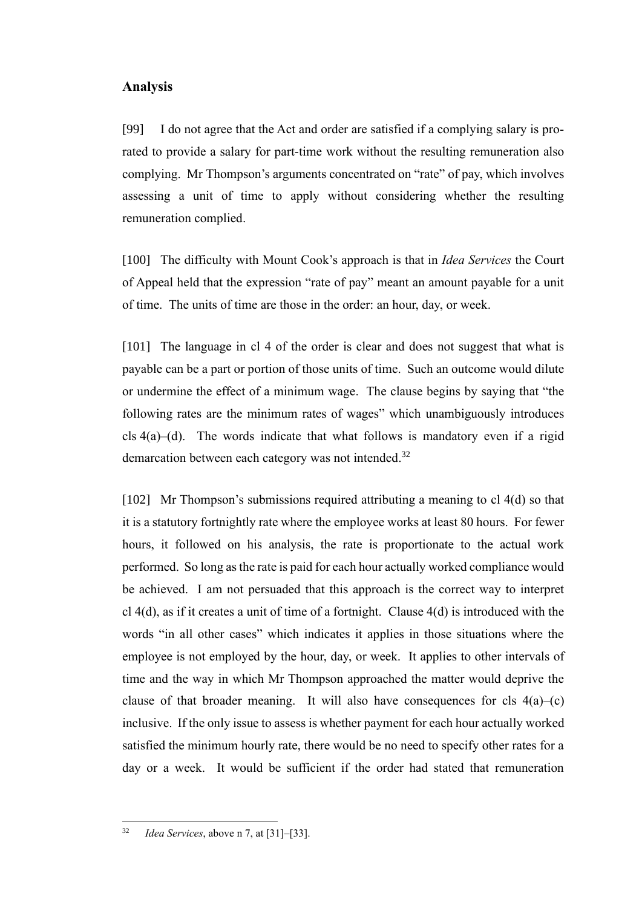#### **Analysis**

[99] I do not agree that the Act and order are satisfied if a complying salary is prorated to provide a salary for part-time work without the resulting remuneration also complying. Mr Thompson's arguments concentrated on "rate" of pay, which involves assessing a unit of time to apply without considering whether the resulting remuneration complied.

[100] The difficulty with Mount Cook's approach is that in *Idea Services* the Court of Appeal held that the expression "rate of pay" meant an amount payable for a unit of time. The units of time are those in the order: an hour, day, or week.

[101] The language in cl 4 of the order is clear and does not suggest that what is payable can be a part or portion of those units of time. Such an outcome would dilute or undermine the effect of a minimum wage. The clause begins by saying that "the following rates are the minimum rates of wages" which unambiguously introduces cls  $4(a)$ –(d). The words indicate that what follows is mandatory even if a rigid demarcation between each category was not intended.<sup>32</sup>

[102] Mr Thompson's submissions required attributing a meaning to cl 4(d) so that it is a statutory fortnightly rate where the employee works at least 80 hours. For fewer hours, it followed on his analysis, the rate is proportionate to the actual work performed. So long as the rate is paid for each hour actually worked compliance would be achieved. I am not persuaded that this approach is the correct way to interpret cl 4(d), as if it creates a unit of time of a fortnight. Clause 4(d) is introduced with the words "in all other cases" which indicates it applies in those situations where the employee is not employed by the hour, day, or week. It applies to other intervals of time and the way in which Mr Thompson approached the matter would deprive the clause of that broader meaning. It will also have consequences for cls  $4(a)$ –(c) inclusive. If the only issue to assess is whether payment for each hour actually worked satisfied the minimum hourly rate, there would be no need to specify other rates for a day or a week. It would be sufficient if the order had stated that remuneration

<sup>32</sup> *Idea Services*, above n 7, at [31]–[33].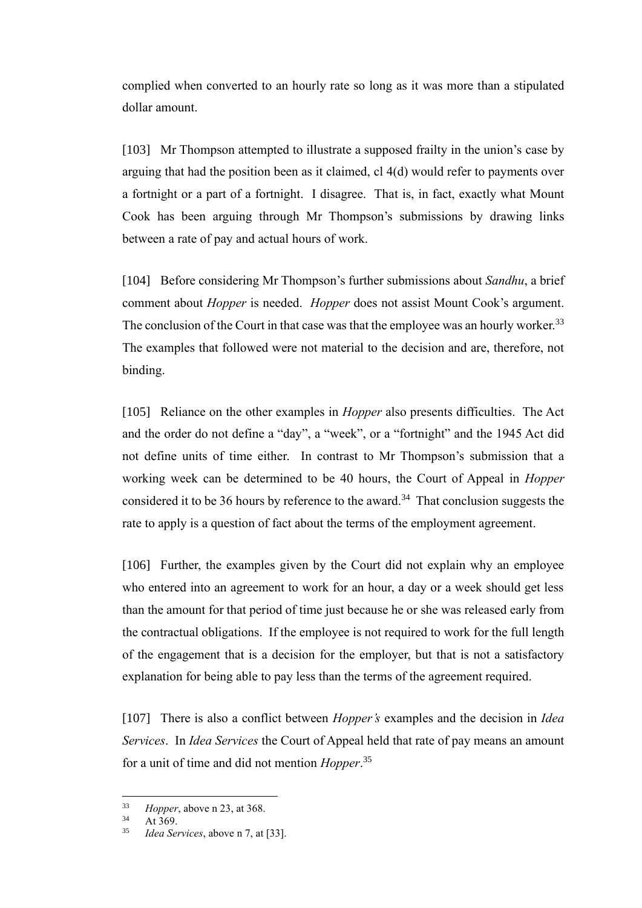complied when converted to an hourly rate so long as it was more than a stipulated dollar amount.

[103] Mr Thompson attempted to illustrate a supposed frailty in the union's case by arguing that had the position been as it claimed, cl 4(d) would refer to payments over a fortnight or a part of a fortnight. I disagree. That is, in fact, exactly what Mount Cook has been arguing through Mr Thompson's submissions by drawing links between a rate of pay and actual hours of work.

[104] Before considering Mr Thompson's further submissions about *Sandhu*, a brief comment about *Hopper* is needed. *Hopper* does not assist Mount Cook's argument. The conclusion of the Court in that case was that the employee was an hourly worker.<sup>33</sup> The examples that followed were not material to the decision and are, therefore, not binding.

[105] Reliance on the other examples in *Hopper* also presents difficulties. The Act and the order do not define a "day", a "week", or a "fortnight" and the 1945 Act did not define units of time either. In contrast to Mr Thompson's submission that a working week can be determined to be 40 hours, the Court of Appeal in *Hopper* considered it to be 36 hours by reference to the award.<sup>34</sup> That conclusion suggests the rate to apply is a question of fact about the terms of the employment agreement.

[106] Further, the examples given by the Court did not explain why an employee who entered into an agreement to work for an hour, a day or a week should get less than the amount for that period of time just because he or she was released early from the contractual obligations. If the employee is not required to work for the full length of the engagement that is a decision for the employer, but that is not a satisfactory explanation for being able to pay less than the terms of the agreement required.

[107] There is also a conflict between *Hopper's* examples and the decision in *Idea Services*. In *Idea Services* the Court of Appeal held that rate of pay means an amount for a unit of time and did not mention *Hopper*. 35

<sup>&</sup>lt;sup>33</sup> *Hopper*, above n 23, at 368.

 $34$  At 369.<br> $35$  *Idea* Sex

*Idea Services*, above n 7, at [33].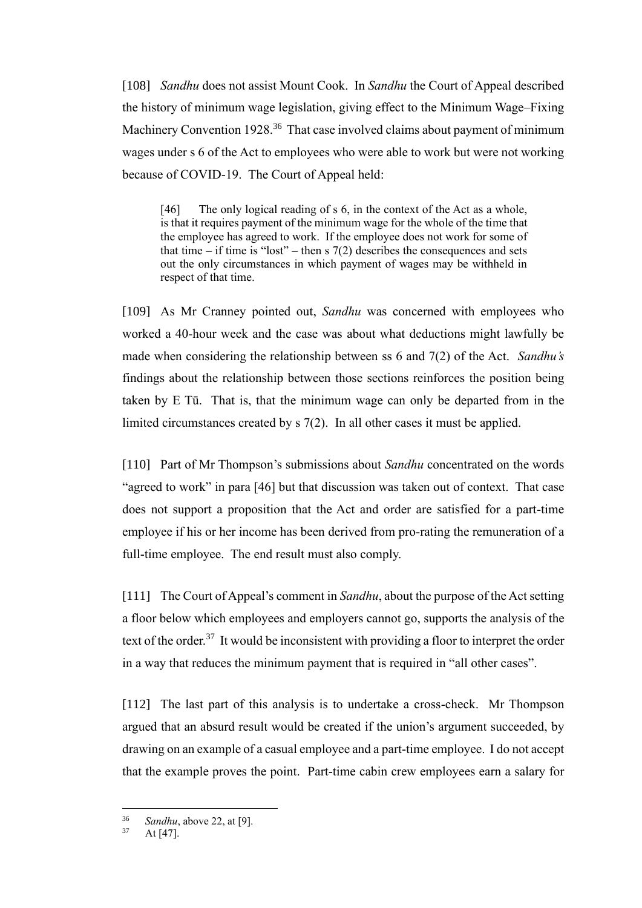[108] *Sandhu* does not assist Mount Cook. In *Sandhu* the Court of Appeal described the history of minimum wage legislation, giving effect to the Minimum Wage–Fixing Machinery Convention 1928.<sup>36</sup> That case involved claims about payment of minimum wages under s 6 of the Act to employees who were able to work but were not working because of COVID-19. The Court of Appeal held:

[46] The only logical reading of s 6, in the context of the Act as a whole, is that it requires payment of the minimum wage for the whole of the time that the employee has agreed to work. If the employee does not work for some of that time – if time is "lost" – then s  $7(2)$  describes the consequences and sets out the only circumstances in which payment of wages may be withheld in respect of that time.

[109] As Mr Cranney pointed out, *Sandhu* was concerned with employees who worked a 40-hour week and the case was about what deductions might lawfully be made when considering the relationship between ss 6 and 7(2) of the Act. *Sandhu's* findings about the relationship between those sections reinforces the position being taken by E Tū. That is, that the minimum wage can only be departed from in the limited circumstances created by s 7(2). In all other cases it must be applied.

[110] Part of Mr Thompson's submissions about *Sandhu* concentrated on the words "agreed to work" in para [46] but that discussion was taken out of context. That case does not support a proposition that the Act and order are satisfied for a part-time employee if his or her income has been derived from pro-rating the remuneration of a full-time employee. The end result must also comply.

[111] The Court of Appeal's comment in *Sandhu*, about the purpose of the Act setting a floor below which employees and employers cannot go, supports the analysis of the text of the order.<sup>37</sup> It would be inconsistent with providing a floor to interpret the order in a way that reduces the minimum payment that is required in "all other cases".

[112] The last part of this analysis is to undertake a cross-check. Mr Thompson argued that an absurd result would be created if the union's argument succeeded, by drawing on an example of a casual employee and a part-time employee. I do not accept that the example proves the point. Part-time cabin crew employees earn a salary for

<sup>&</sup>lt;sup>36</sup> *Sandhu*, above 22, at [9].

At  $[47]$ .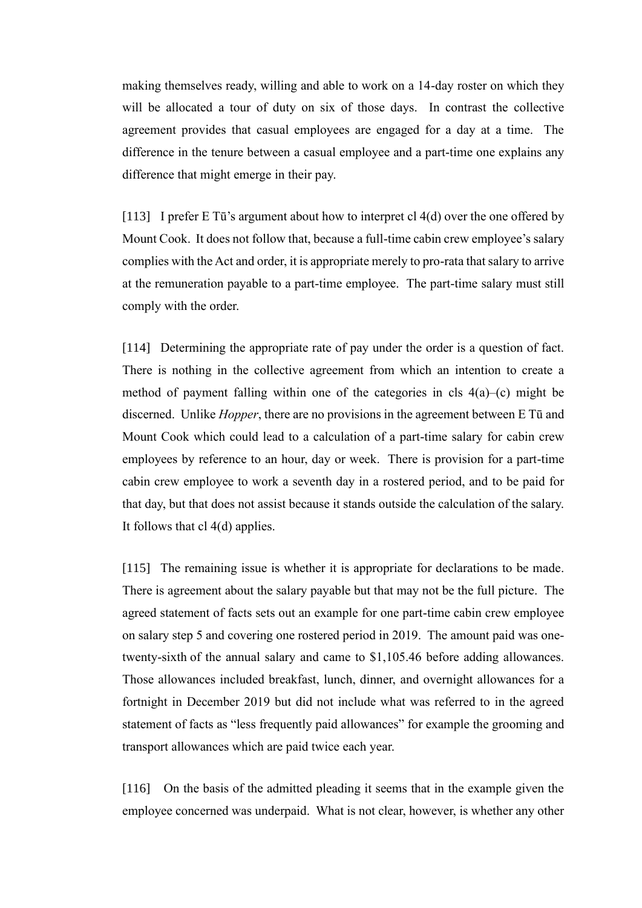making themselves ready, willing and able to work on a 14-day roster on which they will be allocated a tour of duty on six of those days. In contrast the collective agreement provides that casual employees are engaged for a day at a time. The difference in the tenure between a casual employee and a part-time one explains any difference that might emerge in their pay.

[113] I prefer E Tū's argument about how to interpret cl 4(d) over the one offered by Mount Cook. It does not follow that, because a full-time cabin crew employee's salary complies with the Act and order, it is appropriate merely to pro-rata that salary to arrive at the remuneration payable to a part-time employee. The part-time salary must still comply with the order.

[114] Determining the appropriate rate of pay under the order is a question of fact. There is nothing in the collective agreement from which an intention to create a method of payment falling within one of the categories in cls  $4(a)$ –(c) might be discerned. Unlike *Hopper*, there are no provisions in the agreement between E Tū and Mount Cook which could lead to a calculation of a part-time salary for cabin crew employees by reference to an hour, day or week. There is provision for a part-time cabin crew employee to work a seventh day in a rostered period, and to be paid for that day, but that does not assist because it stands outside the calculation of the salary. It follows that cl 4(d) applies.

[115] The remaining issue is whether it is appropriate for declarations to be made. There is agreement about the salary payable but that may not be the full picture. The agreed statement of facts sets out an example for one part-time cabin crew employee on salary step 5 and covering one rostered period in 2019. The amount paid was onetwenty-sixth of the annual salary and came to \$1,105.46 before adding allowances. Those allowances included breakfast, lunch, dinner, and overnight allowances for a fortnight in December 2019 but did not include what was referred to in the agreed statement of facts as "less frequently paid allowances" for example the grooming and transport allowances which are paid twice each year.

[116] On the basis of the admitted pleading it seems that in the example given the employee concerned was underpaid. What is not clear, however, is whether any other